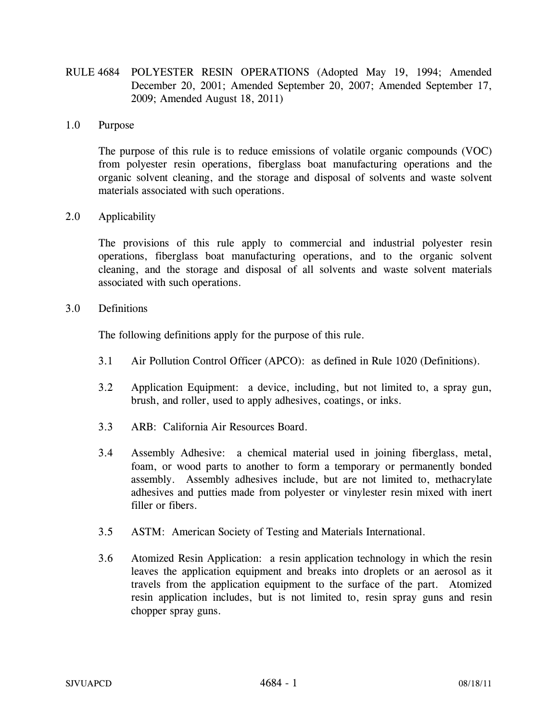RULE 4684 POLYESTER RESIN OPERATIONS (Adopted May 19, 1994; Amended December 20, 2001; Amended September 20, 2007; Amended September 17, 2009; Amended August 18, 2011)

### 1.0 Purpose

The purpose of this rule is to reduce emissions of volatile organic compounds (VOC) from polyester resin operations, fiberglass boat manufacturing operations and the organic solvent cleaning, and the storage and disposal of solvents and waste solvent materials associated with such operations.

# 2.0 Applicability

The provisions of this rule apply to commercial and industrial polyester resin operations, fiberglass boat manufacturing operations, and to the organic solvent cleaning, and the storage and disposal of all solvents and waste solvent materials associated with such operations.

### 3.0 Definitions

The following definitions apply for the purpose of this rule.

- 3.1 Air Pollution Control Officer (APCO): as defined in Rule 1020 (Definitions).
- 3.2 Application Equipment: a device, including, but not limited to, a spray gun, brush, and roller, used to apply adhesives, coatings, or inks.
- 3.3 ARB: California Air Resources Board.
- 3.4 Assembly Adhesive: a chemical material used in joining fiberglass, metal, foam, or wood parts to another to form a temporary or permanently bonded assembly. Assembly adhesives include, but are not limited to, methacrylate adhesives and putties made from polyester or vinylester resin mixed with inert filler or fibers.
- 3.5 ASTM: American Society of Testing and Materials International.
- 3.6 Atomized Resin Application: a resin application technology in which the resin leaves the application equipment and breaks into droplets or an aerosol as it travels from the application equipment to the surface of the part. Atomized resin application includes, but is not limited to, resin spray guns and resin chopper spray guns.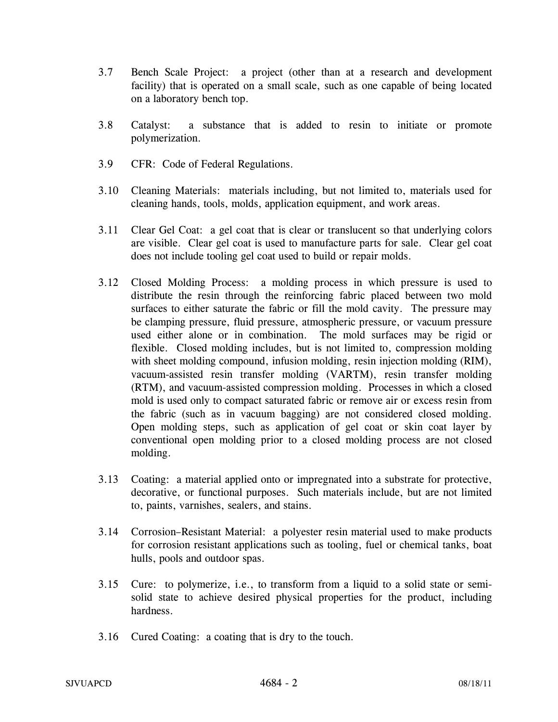- 3.7 Bench Scale Project: a project (other than at a research and development facility) that is operated on a small scale, such as one capable of being located on a laboratory bench top.
- 3.8 Catalyst: a substance that is added to resin to initiate or promote polymerization.
- 3.9 CFR: Code of Federal Regulations.
- 3.10 Cleaning Materials: materials including, but not limited to, materials used for cleaning hands, tools, molds, application equipment, and work areas.
- 3.11 Clear Gel Coat: a gel coat that is clear or translucent so that underlying colors are visible. Clear gel coat is used to manufacture parts for sale. Clear gel coat does not include tooling gel coat used to build or repair molds.
- 3.12 Closed Molding Process: a molding process in which pressure is used to distribute the resin through the reinforcing fabric placed between two mold surfaces to either saturate the fabric or fill the mold cavity. The pressure may be clamping pressure, fluid pressure, atmospheric pressure, or vacuum pressure used either alone or in combination. The mold surfaces may be rigid or flexible. Closed molding includes, but is not limited to, compression molding with sheet molding compound, infusion molding, resin injection molding (RIM), vacuum-assisted resin transfer molding (VARTM), resin transfer molding (RTM), and vacuum-assisted compression molding. Processes in which a closed mold is used only to compact saturated fabric or remove air or excess resin from the fabric (such as in vacuum bagging) are not considered closed molding. Open molding steps, such as application of gel coat or skin coat layer by conventional open molding prior to a closed molding process are not closed molding.
- 3.13 Coating: a material applied onto or impregnated into a substrate for protective, decorative, or functional purposes. Such materials include, but are not limited to, paints, varnishes, sealers, and stains.
- 3.14 Corrosion–Resistant Material: a polyester resin material used to make products for corrosion resistant applications such as tooling, fuel or chemical tanks, boat hulls, pools and outdoor spas.
- 3.15 Cure: to polymerize, i.e., to transform from a liquid to a solid state or semisolid state to achieve desired physical properties for the product, including hardness.
- 3.16 Cured Coating: a coating that is dry to the touch.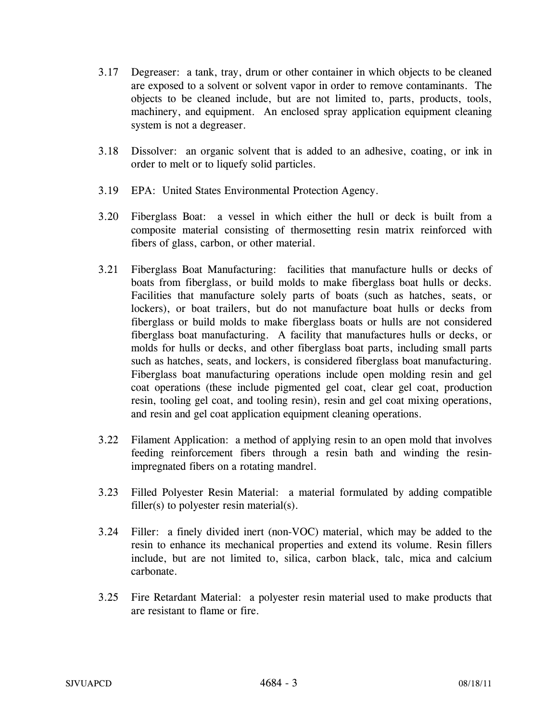- 3.17 Degreaser: a tank, tray, drum or other container in which objects to be cleaned are exposed to a solvent or solvent vapor in order to remove contaminants. The objects to be cleaned include, but are not limited to, parts, products, tools, machinery, and equipment. An enclosed spray application equipment cleaning system is not a degreaser.
- 3.18 Dissolver: an organic solvent that is added to an adhesive, coating, or ink in order to melt or to liquefy solid particles.
- 3.19 EPA: United States Environmental Protection Agency.
- 3.20 Fiberglass Boat: a vessel in which either the hull or deck is built from a composite material consisting of thermosetting resin matrix reinforced with fibers of glass, carbon, or other material.
- 3.21 Fiberglass Boat Manufacturing: facilities that manufacture hulls or decks of boats from fiberglass, or build molds to make fiberglass boat hulls or decks. Facilities that manufacture solely parts of boats (such as hatches, seats, or lockers), or boat trailers, but do not manufacture boat hulls or decks from fiberglass or build molds to make fiberglass boats or hulls are not considered fiberglass boat manufacturing. A facility that manufactures hulls or decks, or molds for hulls or decks, and other fiberglass boat parts, including small parts such as hatches, seats, and lockers, is considered fiberglass boat manufacturing. Fiberglass boat manufacturing operations include open molding resin and gel coat operations (these include pigmented gel coat, clear gel coat, production resin, tooling gel coat, and tooling resin), resin and gel coat mixing operations, and resin and gel coat application equipment cleaning operations.
- 3.22 Filament Application: a method of applying resin to an open mold that involves feeding reinforcement fibers through a resin bath and winding the resinimpregnated fibers on a rotating mandrel.
- 3.23 Filled Polyester Resin Material: a material formulated by adding compatible filler(s) to polyester resin material(s).
- 3.24 Filler: a finely divided inert (non-VOC) material, which may be added to the resin to enhance its mechanical properties and extend its volume. Resin fillers include, but are not limited to, silica, carbon black, talc, mica and calcium carbonate.
- 3.25 Fire Retardant Material: a polyester resin material used to make products that are resistant to flame or fire.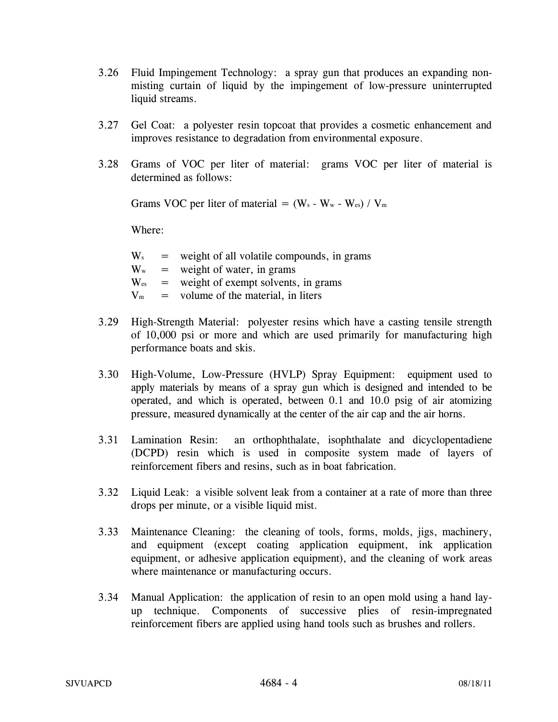- 3.26 Fluid Impingement Technology: a spray gun that produces an expanding nonmisting curtain of liquid by the impingement of low-pressure uninterrupted liquid streams.
- 3.27 Gel Coat: a polyester resin topcoat that provides a cosmetic enhancement and improves resistance to degradation from environmental exposure.
- 3.28 Grams of VOC per liter of material: grams VOC per liter of material is determined as follows:

Grams VOC per liter of material =  $(W_s - W_w - W_{es}) / V_m$ 

| $\mathbf{W}_\mathrm{s}$   | $=$ weight of all volatile compounds, in grams |
|---------------------------|------------------------------------------------|
| $\mathbf{W}_{\mathrm{w}}$ | $=$ weight of water, in grams                  |
| $\rm W_{es}$              | $=$ weight of exempt solvents, in grams        |
| $\rm V_m$                 | $=$ volume of the material, in liters          |
|                           |                                                |

- 3.29 High-Strength Material: polyester resins which have a casting tensile strength of 10,000 psi or more and which are used primarily for manufacturing high performance boats and skis.
- 3.30 High-Volume, Low-Pressure (HVLP) Spray Equipment: equipment used to apply materials by means of a spray gun which is designed and intended to be operated, and which is operated, between 0.1 and 10.0 psig of air atomizing pressure, measured dynamically at the center of the air cap and the air horns.
- 3.31 Lamination Resin: an orthophthalate, isophthalate and dicyclopentadiene (DCPD) resin which is used in composite system made of layers of reinforcement fibers and resins, such as in boat fabrication.
- 3.32 Liquid Leak: a visible solvent leak from a container at a rate of more than three drops per minute, or a visible liquid mist.
- 3.33 Maintenance Cleaning: the cleaning of tools, forms, molds, jigs, machinery, and equipment (except coating application equipment, ink application equipment, or adhesive application equipment), and the cleaning of work areas where maintenance or manufacturing occurs.
- 3.34 Manual Application: the application of resin to an open mold using a hand layup technique. Components of successive plies of resin-impregnated reinforcement fibers are applied using hand tools such as brushes and rollers.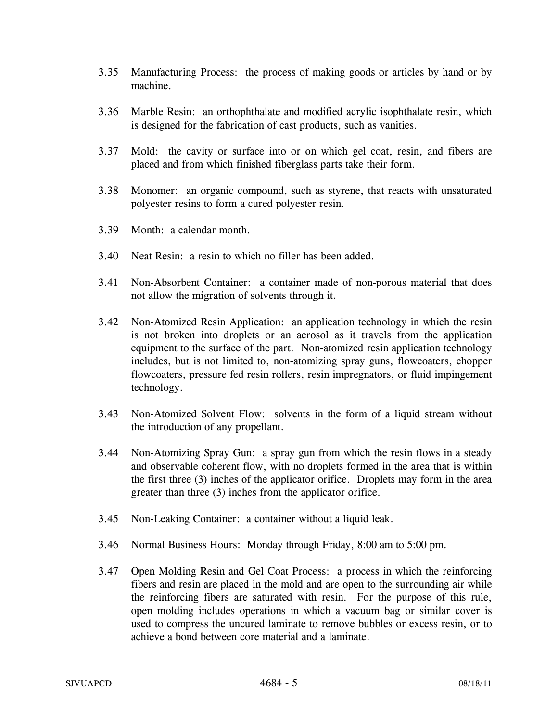- 3.35 Manufacturing Process: the process of making goods or articles by hand or by machine.
- 3.36 Marble Resin: an orthophthalate and modified acrylic isophthalate resin, which is designed for the fabrication of cast products, such as vanities.
- 3.37 Mold: the cavity or surface into or on which gel coat, resin, and fibers are placed and from which finished fiberglass parts take their form.
- 3.38 Monomer: an organic compound, such as styrene, that reacts with unsaturated polyester resins to form a cured polyester resin.
- 3.39 Month: a calendar month.
- 3.40 Neat Resin: a resin to which no filler has been added.
- 3.41 Non-Absorbent Container: a container made of non-porous material that does not allow the migration of solvents through it.
- 3.42 Non-Atomized Resin Application: an application technology in which the resin is not broken into droplets or an aerosol as it travels from the application equipment to the surface of the part. Non-atomized resin application technology includes, but is not limited to, non-atomizing spray guns, flowcoaters, chopper flowcoaters, pressure fed resin rollers, resin impregnators, or fluid impingement technology.
- 3.43 Non-Atomized Solvent Flow: solvents in the form of a liquid stream without the introduction of any propellant.
- 3.44 Non-Atomizing Spray Gun: a spray gun from which the resin flows in a steady and observable coherent flow, with no droplets formed in the area that is within the first three (3) inches of the applicator orifice. Droplets may form in the area greater than three (3) inches from the applicator orifice.
- 3.45 Non-Leaking Container: a container without a liquid leak.
- 3.46 Normal Business Hours: Monday through Friday, 8:00 am to 5:00 pm.
- 3.47 Open Molding Resin and Gel Coat Process: a process in which the reinforcing fibers and resin are placed in the mold and are open to the surrounding air while the reinforcing fibers are saturated with resin. For the purpose of this rule, open molding includes operations in which a vacuum bag or similar cover is used to compress the uncured laminate to remove bubbles or excess resin, or to achieve a bond between core material and a laminate.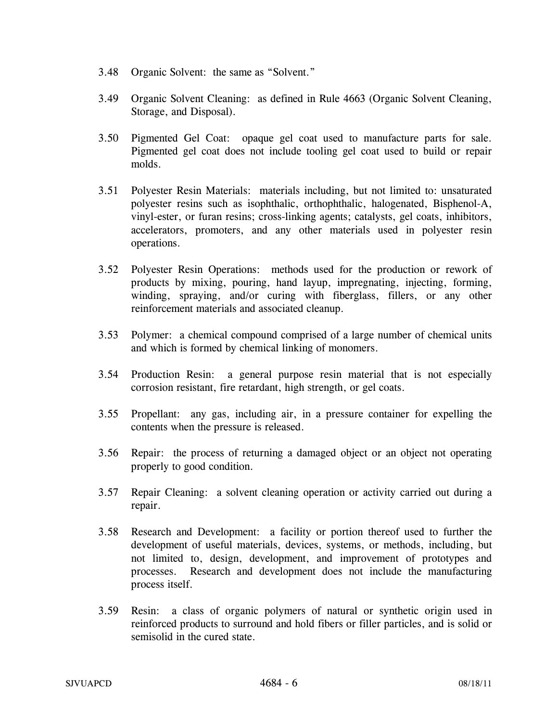- 3.48 Organic Solvent: the same as "Solvent."
- 3.49 Organic Solvent Cleaning: as defined in Rule 4663 (Organic Solvent Cleaning, Storage, and Disposal).
- 3.50 Pigmented Gel Coat: opaque gel coat used to manufacture parts for sale. Pigmented gel coat does not include tooling gel coat used to build or repair molds.
- 3.51 Polyester Resin Materials: materials including, but not limited to: unsaturated polyester resins such as isophthalic, orthophthalic, halogenated, Bisphenol-A, vinyl-ester, or furan resins; cross-linking agents; catalysts, gel coats, inhibitors, accelerators, promoters, and any other materials used in polyester resin operations.
- 3.52 Polyester Resin Operations: methods used for the production or rework of products by mixing, pouring, hand layup, impregnating, injecting, forming, winding, spraying, and/or curing with fiberglass, fillers, or any other reinforcement materials and associated cleanup.
- 3.53 Polymer: a chemical compound comprised of a large number of chemical units and which is formed by chemical linking of monomers.
- 3.54 Production Resin: a general purpose resin material that is not especially corrosion resistant, fire retardant, high strength, or gel coats.
- 3.55 Propellant: any gas, including air, in a pressure container for expelling the contents when the pressure is released.
- 3.56 Repair: the process of returning a damaged object or an object not operating properly to good condition.
- 3.57 Repair Cleaning: a solvent cleaning operation or activity carried out during a repair.
- 3.58 Research and Development: a facility or portion thereof used to further the development of useful materials, devices, systems, or methods, including, but not limited to, design, development, and improvement of prototypes and processes. Research and development does not include the manufacturing process itself.
- 3.59 Resin: a class of organic polymers of natural or synthetic origin used in reinforced products to surround and hold fibers or filler particles, and is solid or semisolid in the cured state.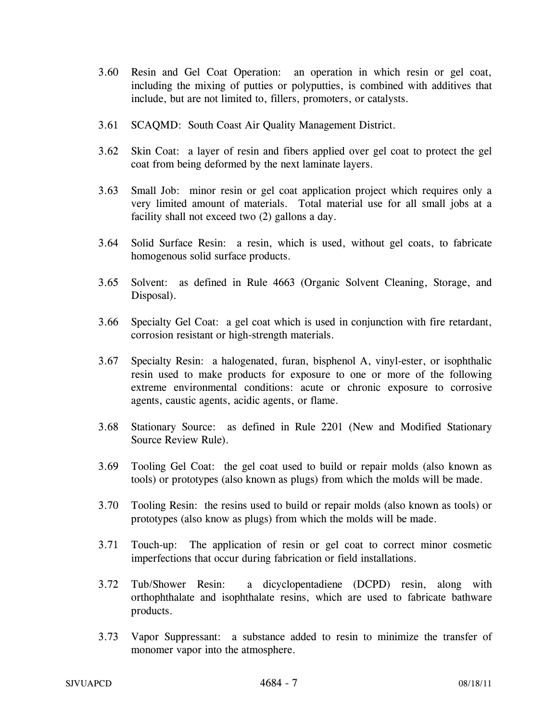- 3.60 Resin and Gel Coat Operation: an operation in which resin or gel coat, including the mixing of putties or polyputties, is combined with additives that include, but are not limited to, fillers, promoters, or catalysts.
- 3.61 SCAQMD: South Coast Air Quality Management District.
- 3.62 Skin Coat: a layer of resin and fibers applied over gel coat to protect the gel coat from being deformed by the next laminate layers.
- 3.63 Small Job: minor resin or gel coat application project which requires only a very limited amount of materials. Total material use for all small jobs at a facility shall not exceed two (2) gallons a day.
- 3.64 Solid Surface Resin: a resin, which is used, without gel coats, to fabricate homogenous solid surface products.
- 3.65 Solvent: as defined in Rule 4663 (Organic Solvent Cleaning, Storage, and Disposal).
- 3.66 Specialty Gel Coat: a gel coat which is used in conjunction with fire retardant, corrosion resistant or high-strength materials.
- 3.67 Specialty Resin: a halogenated, furan, bisphenol A, vinyl-ester, or isophthalic resin used to make products for exposure to one or more of the following extreme environmental conditions: acute or chronic exposure to corrosive agents, caustic agents, acidic agents, or flame.
- 3.68 Stationary Source: as defined in Rule 2201 (New and Modified Stationary Source Review Rule).
- 3.69 Tooling Gel Coat: the gel coat used to build or repair molds (also known as tools) or prototypes (also known as plugs) from which the molds will be made.
- 3.70 Tooling Resin: the resins used to build or repair molds (also known as tools) or prototypes (also know as plugs) from which the molds will be made.
- 3.71 Touch-up: The application of resin or gel coat to correct minor cosmetic imperfections that occur during fabrication or field installations.
- 3.72 Tub/Shower Resin: a dicyclopentadiene (DCPD) resin, along with orthophthalate and isophthalate resins, which are used to fabricate bathware products.
- 3.73 Vapor Suppressant: a substance added to resin to minimize the transfer of monomer vapor into the atmosphere.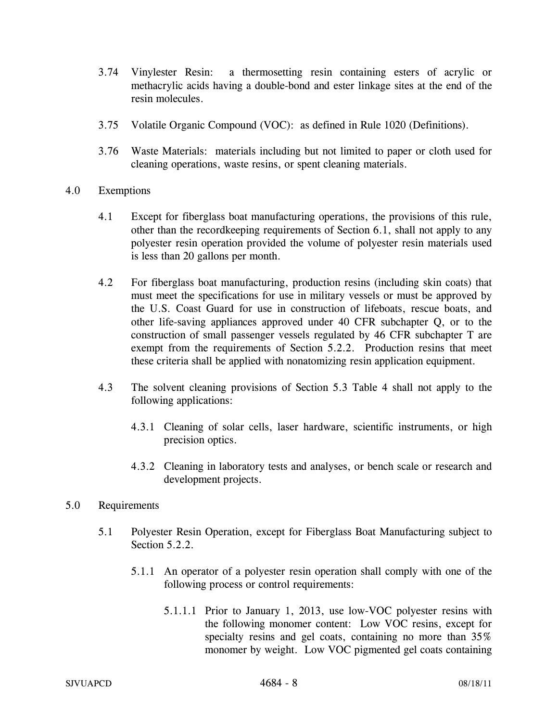- 3.74 Vinylester Resin: a thermosetting resin containing esters of acrylic or methacrylic acids having a double-bond and ester linkage sites at the end of the resin molecules.
- 3.75 Volatile Organic Compound (VOC): as defined in Rule 1020 (Definitions).
- 3.76 Waste Materials: materials including but not limited to paper or cloth used for cleaning operations, waste resins, or spent cleaning materials.
- 4.0 Exemptions
	- 4.1 Except for fiberglass boat manufacturing operations, the provisions of this rule, other than the recordkeeping requirements of Section 6.1, shall not apply to any polyester resin operation provided the volume of polyester resin materials used is less than 20 gallons per month.
	- 4.2 For fiberglass boat manufacturing, production resins (including skin coats) that must meet the specifications for use in military vessels or must be approved by the U.S. Coast Guard for use in construction of lifeboats, rescue boats, and other life-saving appliances approved under 40 CFR subchapter Q, or to the construction of small passenger vessels regulated by 46 CFR subchapter T are exempt from the requirements of Section 5.2.2. Production resins that meet these criteria shall be applied with nonatomizing resin application equipment.
	- 4.3 The solvent cleaning provisions of Section 5.3 Table 4 shall not apply to the following applications:
		- 4.3.1 Cleaning of solar cells, laser hardware, scientific instruments, or high precision optics.
		- 4.3.2 Cleaning in laboratory tests and analyses, or bench scale or research and development projects.
- 5.0 Requirements
	- 5.1 Polyester Resin Operation, except for Fiberglass Boat Manufacturing subject to Section 5.2.2.
		- 5.1.1 An operator of a polyester resin operation shall comply with one of the following process or control requirements:
			- 5.1.1.1 Prior to January 1, 2013, use low-VOC polyester resins with the following monomer content: Low VOC resins, except for specialty resins and gel coats, containing no more than  $35\%$ monomer by weight. Low VOC pigmented gel coats containing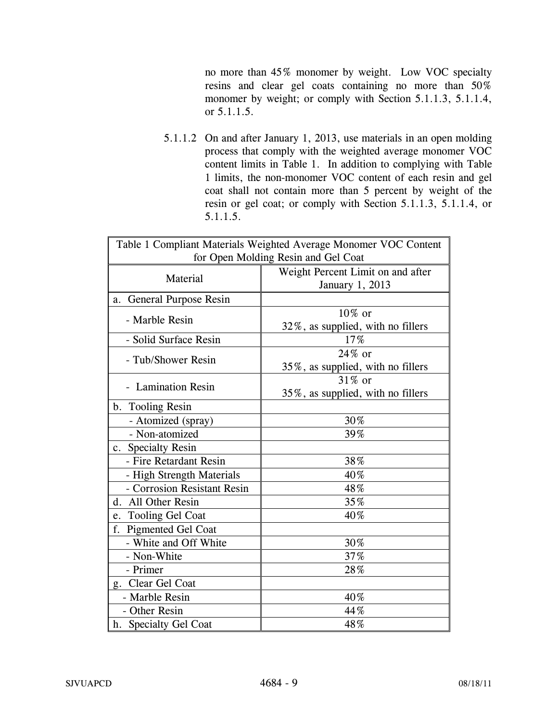no more than 45% monomer by weight. Low VOC specialty resins and clear gel coats containing no more than 50% monomer by weight; or comply with Section 5.1.1.3, 5.1.1.4, or 5.1.1.5.

5.1.1.2 On and after January 1, 2013, use materials in an open molding process that comply with the weighted average monomer VOC content limits in Table 1. In addition to complying with Table 1 limits, the non-monomer VOC content of each resin and gel coat shall not contain more than 5 percent by weight of the resin or gel coat; or comply with Section 5.1.1.3, 5.1.1.4, or 5.1.1.5.

| Table 1 Compliant Materials Weighted Average Monomer VOC Content |                                   |  |  |
|------------------------------------------------------------------|-----------------------------------|--|--|
| for Open Molding Resin and Gel Coat                              |                                   |  |  |
| Material                                                         | Weight Percent Limit on and after |  |  |
|                                                                  | January 1, 2013                   |  |  |
| a. General Purpose Resin                                         |                                   |  |  |
| - Marble Resin                                                   | 10% or                            |  |  |
|                                                                  | 32%, as supplied, with no fillers |  |  |
| - Solid Surface Resin                                            | 17%                               |  |  |
| - Tub/Shower Resin                                               | $24\%$ or                         |  |  |
|                                                                  | 35%, as supplied, with no fillers |  |  |
| - Lamination Resin                                               | 31\% or                           |  |  |
|                                                                  | 35%, as supplied, with no fillers |  |  |
| b. Tooling Resin                                                 |                                   |  |  |
| - Atomized (spray)                                               | 30%                               |  |  |
| - Non-atomized                                                   | 39%                               |  |  |
| c. Specialty Resin                                               |                                   |  |  |
| - Fire Retardant Resin                                           | 38%                               |  |  |
| - High Strength Materials                                        | 40%                               |  |  |
| - Corrosion Resistant Resin                                      | 48%                               |  |  |
| d. All Other Resin                                               | 35%                               |  |  |
| e. Tooling Gel Coat                                              | 40%                               |  |  |
| f. Pigmented Gel Coat                                            |                                   |  |  |
| - White and Off White                                            | 30%                               |  |  |
| - Non-White                                                      | 37%                               |  |  |
| - Primer                                                         | 28%                               |  |  |
| g. Clear Gel Coat                                                |                                   |  |  |
| - Marble Resin                                                   | 40%                               |  |  |
| - Other Resin                                                    | 44%                               |  |  |
| h. Specialty Gel Coat                                            | 48%                               |  |  |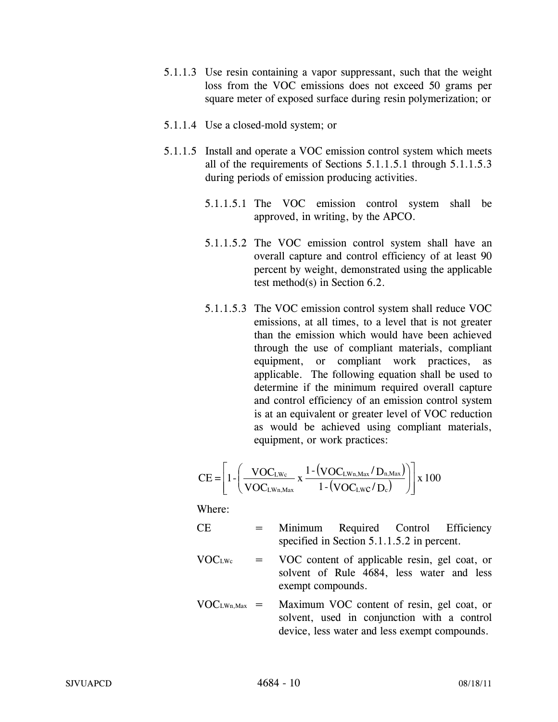- 5.1.1.3 Use resin containing a vapor suppressant, such that the weight loss from the VOC emissions does not exceed 50 grams per square meter of exposed surface during resin polymerization; or
- 5.1.1.4 Use a closed-mold system; or
- 5.1.1.5 Install and operate a VOC emission control system which meets all of the requirements of Sections 5.1.1.5.1 through 5.1.1.5.3 during periods of emission producing activities.
	- 5.1.1.5.1 The VOC emission control system shall be approved, in writing, by the APCO.
	- 5.1.1.5.2 The VOC emission control system shall have an overall capture and control efficiency of at least 90 percent by weight, demonstrated using the applicable test method(s) in Section 6.2.
	- 5.1.1.5.3 The VOC emission control system shall reduce VOC emissions, at all times, to a level that is not greater than the emission which would have been achieved through the use of compliant materials, compliant equipment, or compliant work practices, as applicable. The following equation shall be used to determine if the minimum required overall capture and control efficiency of an emission control system is at an equivalent or greater level of VOC reduction as would be achieved using compliant materials, equipment, or work practices:

$$
CE = \left[1 - \left(\frac{VOC_{LWc}}{VOC_{LWn,Max}} \times \frac{1 - (VOC_{LWn,Max}/D_{n,Max})}{1 - (VOC_{LWc}/D_c)}\right)\right] \times 100
$$

- CE = Minimum Required Control Efficiency specified in Section 5.1.1.5.2 in percent.
- $VOC<sub>LWe</sub> = VOC content of applicable resin, gel coat, or$ solvent of Rule 4684, less water and less exempt compounds.
- $VOC<sub>LWn, Max</sub> =$  Maximum VOC content of resin, gel coat, or solvent, used in conjunction with a control device, less water and less exempt compounds.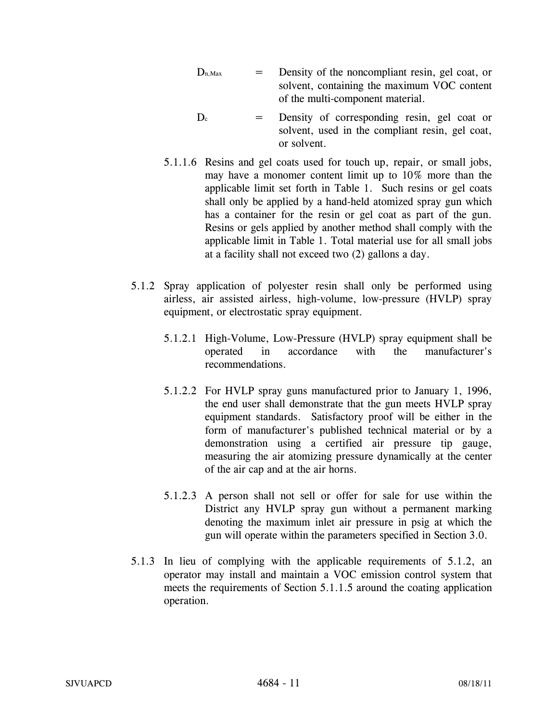- $D_{n,Max}$  = Density of the noncompliant resin, gel coat, or solvent, containing the maximum VOC content of the multi-component material.
- $D_c$  = Density of corresponding resin, gel coat or solvent, used in the compliant resin, gel coat, or solvent.
- 5.1.1.6 Resins and gel coats used for touch up, repair, or small jobs, may have a monomer content limit up to 10% more than the applicable limit set forth in Table 1. Such resins or gel coats shall only be applied by a hand-held atomized spray gun which has a container for the resin or gel coat as part of the gun. Resins or gels applied by another method shall comply with the applicable limit in Table 1. Total material use for all small jobs at a facility shall not exceed two (2) gallons a day.
- 5.1.2 Spray application of polyester resin shall only be performed using airless, air assisted airless, high-volume, low-pressure (HVLP) spray equipment, or electrostatic spray equipment.
	- 5.1.2.1 High-Volume, Low-Pressure (HVLP) spray equipment shall be operated in accordance with the manufacturer's recommendations.
	- 5.1.2.2 For HVLP spray guns manufactured prior to January 1, 1996, the end user shall demonstrate that the gun meets HVLP spray equipment standards. Satisfactory proof will be either in the form of manufacturer's published technical material or by a demonstration using a certified air pressure tip gauge, measuring the air atomizing pressure dynamically at the center of the air cap and at the air horns.
	- 5.1.2.3 A person shall not sell or offer for sale for use within the District any HVLP spray gun without a permanent marking denoting the maximum inlet air pressure in psig at which the gun will operate within the parameters specified in Section 3.0.
- 5.1.3 In lieu of complying with the applicable requirements of 5.1.2, an operator may install and maintain a VOC emission control system that meets the requirements of Section 5.1.1.5 around the coating application operation.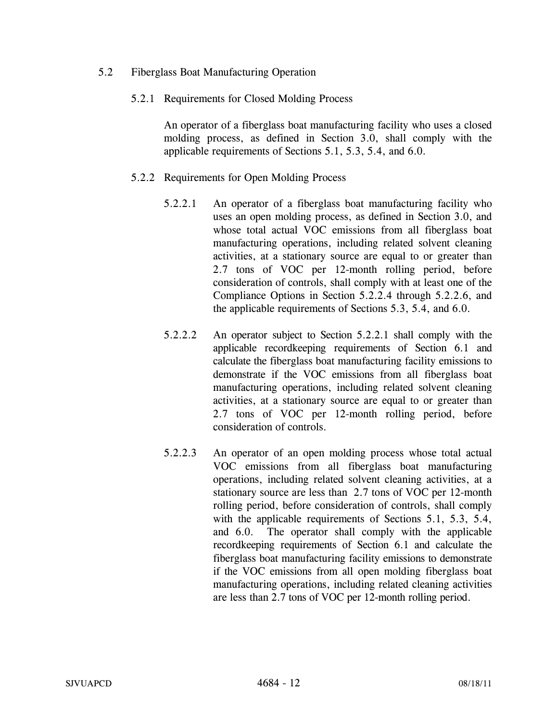- 5.2 Fiberglass Boat Manufacturing Operation
	- 5.2.1 Requirements for Closed Molding Process

 An operator of a fiberglass boat manufacturing facility who uses a closed molding process, as defined in Section 3.0, shall comply with the applicable requirements of Sections 5.1, 5.3, 5.4, and 6.0.

- 5.2.2 Requirements for Open Molding Process
	- 5.2.2.1 An operator of a fiberglass boat manufacturing facility who uses an open molding process, as defined in Section 3.0, and whose total actual VOC emissions from all fiberglass boat manufacturing operations, including related solvent cleaning activities, at a stationary source are equal to or greater than 2.7 tons of VOC per 12-month rolling period, before consideration of controls, shall comply with at least one of the Compliance Options in Section 5.2.2.4 through 5.2.2.6, and the applicable requirements of Sections 5.3, 5.4, and 6.0.
	- 5.2.2.2 An operator subject to Section 5.2.2.1 shall comply with the applicable recordkeeping requirements of Section 6.1 and calculate the fiberglass boat manufacturing facility emissions to demonstrate if the VOC emissions from all fiberglass boat manufacturing operations, including related solvent cleaning activities, at a stationary source are equal to or greater than 2.7 tons of VOC per 12-month rolling period, before consideration of controls.
	- 5.2.2.3 An operator of an open molding process whose total actual VOC emissions from all fiberglass boat manufacturing operations, including related solvent cleaning activities, at a stationary source are less than 2.7 tons of VOC per 12-month rolling period, before consideration of controls, shall comply with the applicable requirements of Sections 5.1, 5.3, 5.4, and 6.0. The operator shall comply with the applicable recordkeeping requirements of Section 6.1 and calculate the fiberglass boat manufacturing facility emissions to demonstrate if the VOC emissions from all open molding fiberglass boat manufacturing operations, including related cleaning activities are less than 2.7 tons of VOC per 12-month rolling period.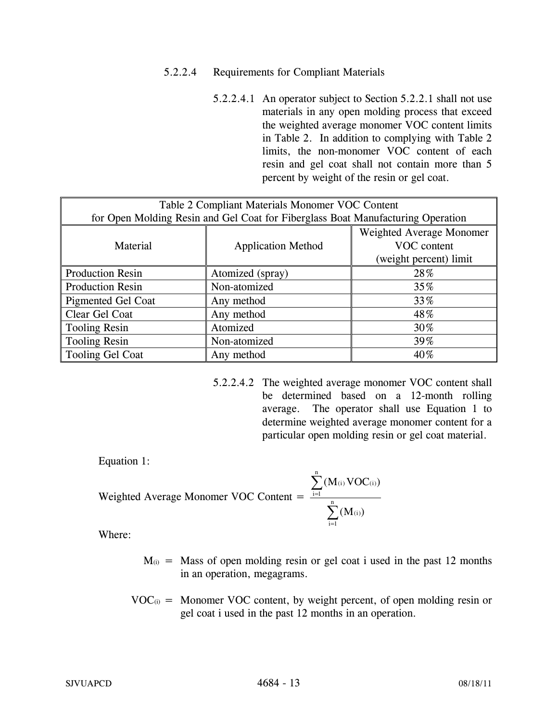## 5.2.2.4 Requirements for Compliant Materials

 5.2.2.4.1 An operator subject to Section 5.2.2.1 shall not use materials in any open molding process that exceed the weighted average monomer VOC content limits in Table 2. In addition to complying with Table 2 limits, the non-monomer VOC content of each resin and gel coat shall not contain more than 5 percent by weight of the resin or gel coat.

| Table 2 Compliant Materials Monomer VOC Content                                 |                           |                          |  |  |
|---------------------------------------------------------------------------------|---------------------------|--------------------------|--|--|
| for Open Molding Resin and Gel Coat for Fiberglass Boat Manufacturing Operation |                           |                          |  |  |
|                                                                                 |                           | Weighted Average Monomer |  |  |
| Material                                                                        | <b>Application Method</b> | VOC content              |  |  |
|                                                                                 |                           | (weight percent) limit   |  |  |
| <b>Production Resin</b>                                                         | Atomized (spray)          | 28%                      |  |  |
| <b>Production Resin</b>                                                         | Non-atomized              | 35%                      |  |  |
| Pigmented Gel Coat                                                              | Any method                | 33%                      |  |  |
| Clear Gel Coat                                                                  | Any method                | 48%                      |  |  |
| Tooling Resin                                                                   | Atomized                  | 30%                      |  |  |
| Tooling Resin                                                                   | Non-atomized              | 39%                      |  |  |
| Tooling Gel Coat                                                                | Any method                | 40%                      |  |  |

 5.2.2.4.2 The weighted average monomer VOC content shall be determined based on a 12-month rolling average. The operator shall use Equation 1 to determine weighted average monomer content for a particular open molding resin or gel coat material.

Equation 1:

Weighted Average Monomer VOC Content = 
$$
\frac{\sum_{i=1}^{n} (M_{(i)} VOC_{(i)})}{\sum_{i=1}^{n} (M_{(i)})}
$$

- $M_{(i)}$  = Mass of open molding resin or gel coat i used in the past 12 months in an operation, megagrams.
- $VOC_{(i)}$  = Monomer VOC content, by weight percent, of open molding resin or gel coat i used in the past 12 months in an operation.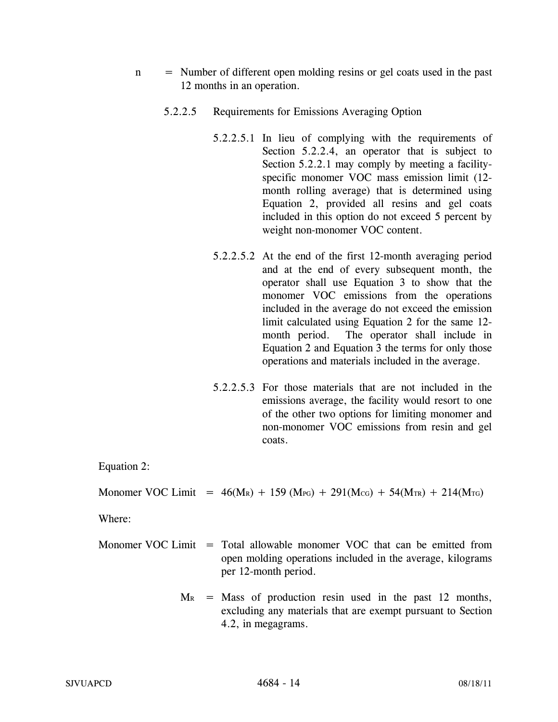- n = Number of different open molding resins or gel coats used in the past 12 months in an operation.
	- 5.2.2.5 Requirements for Emissions Averaging Option
		- 5.2.2.5.1 In lieu of complying with the requirements of Section 5.2.2.4, an operator that is subject to Section 5.2.2.1 may comply by meeting a facilityspecific monomer VOC mass emission limit (12 month rolling average) that is determined using Equation 2, provided all resins and gel coats included in this option do not exceed 5 percent by weight non-monomer VOC content.
		- 5.2.2.5.2 At the end of the first 12-month averaging period and at the end of every subsequent month, the operator shall use Equation 3 to show that the monomer VOC emissions from the operations included in the average do not exceed the emission limit calculated using Equation 2 for the same 12 month period. The operator shall include in Equation 2 and Equation 3 the terms for only those operations and materials included in the average.
		- 5.2.2.5.3 For those materials that are not included in the emissions average, the facility would resort to one of the other two options for limiting monomer and non-monomer VOC emissions from resin and gel coats.

Equation 2:

Monomer VOC Limit =  $46(M_R) + 159(M_{PG}) + 291(M_{CG}) + 54(M_{TR}) + 214(M_{TG})$ 

- Monomer VOC Limit = Total allowable monomer VOC that can be emitted from open molding operations included in the average, kilograms per 12-month period.
	- $M_R$  = Mass of production resin used in the past 12 months, excluding any materials that are exempt pursuant to Section 4.2, in megagrams.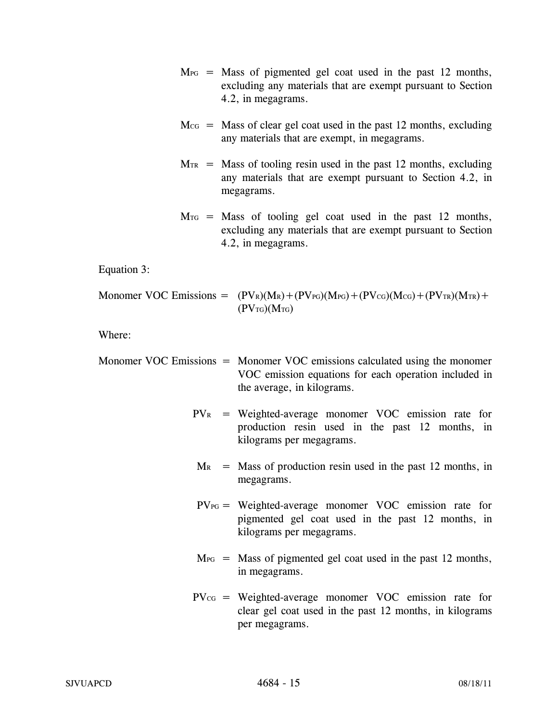- $M_{PG}$  = Mass of pigmented gel coat used in the past 12 months, excluding any materials that are exempt pursuant to Section 4.2, in megagrams.
- $M_{CG}$  = Mass of clear gel coat used in the past 12 months, excluding any materials that are exempt, in megagrams.
- $M_{TR}$  = Mass of tooling resin used in the past 12 months, excluding any materials that are exempt pursuant to Section 4.2, in megagrams.
- $M_{\text{TG}}$  = Mass of tooling gel coat used in the past 12 months, excluding any materials that are exempt pursuant to Section 4.2, in megagrams.

Equation 3:

Monomer VOC Emissions = 
$$
(PV_{R})(M_{R}) + (PV_{PG})(M_{PG}) + (PV_{CG})(M_{CG}) + (PV_{TR})(M_{TR}) + (PV_{TG})(M_{TG})
$$

- Monomer VOC Emissions = Monomer VOC emissions calculated using the monomer VOC emission equations for each operation included in the average, in kilograms.
	- $PV<sub>R</sub>$  = Weighted-average monomer VOC emission rate for production resin used in the past 12 months, in kilograms per megagrams.
	- $M_R$  = Mass of production resin used in the past 12 months, in megagrams.
	- $PV_{PG}$  = Weighted-average monomer VOC emission rate for pigmented gel coat used in the past 12 months, in kilograms per megagrams.
	- $M_{PG}$  = Mass of pigmented gel coat used in the past 12 months, in megagrams.
	- $PV_{CG}$  = Weighted-average monomer VOC emission rate for clear gel coat used in the past 12 months, in kilograms per megagrams.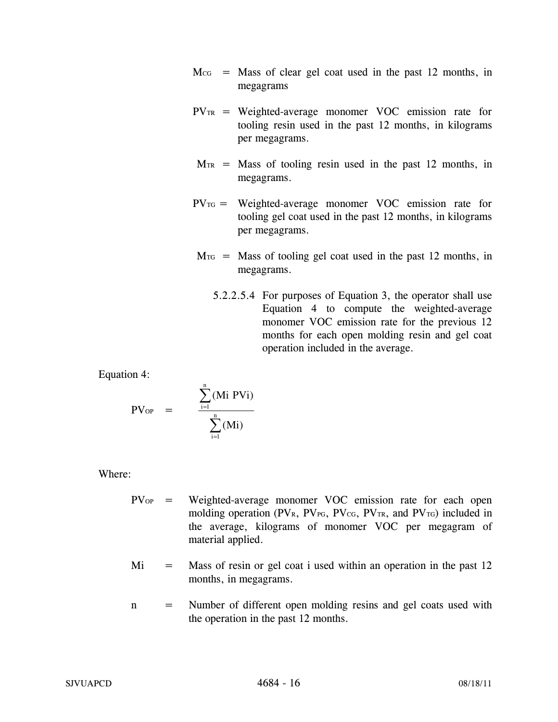- $M_{CG}$  = Mass of clear gel coat used in the past 12 months, in megagrams
- $PV_{TR}$  = Weighted-average monomer VOC emission rate for tooling resin used in the past 12 months, in kilograms per megagrams.
- $M_{TR}$  = Mass of tooling resin used in the past 12 months, in megagrams.
- $PV_{\text{TG}}$  = Weighted-average monomer VOC emission rate for tooling gel coat used in the past 12 months, in kilograms per megagrams.
- $M_{\text{TG}}$  = Mass of tooling gel coat used in the past 12 months, in megagrams.
	- 5.2.2.5.4 For purposes of Equation 3, the operator shall use Equation 4 to compute the weighted-average monomer VOC emission rate for the previous 12 months for each open molding resin and gel coat operation included in the average.

Equation 4:

$$
PV_{OP} \quad = \qquad \frac{\displaystyle\sum_{i=1}^{n} (Mi \; PVi)}{\displaystyle\sum_{i=1}^{n} (Mi)}
$$

- PV<sub>OP</sub> = Weighted-average monomer VOC emission rate for each open molding operation (PVR, PV<sub>PG</sub>, PV<sub>CG</sub>, PV<sub>TR</sub>, and PV<sub>TG</sub>) included in the average, kilograms of monomer VOC per megagram of material applied.
- $Mi$  = Mass of resin or gel coat i used within an operation in the past 12 months, in megagrams.
- n = Number of different open molding resins and gel coats used with the operation in the past 12 months.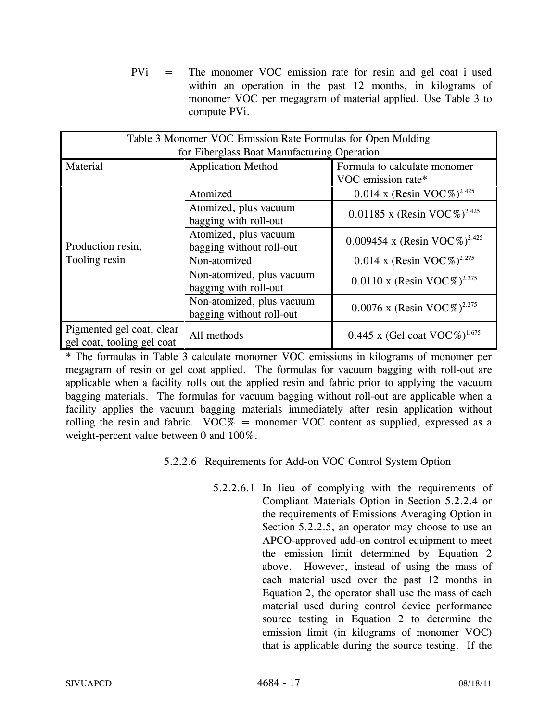PVi = The monomer VOC emission rate for resin and gel coat i used within an operation in the past 12 months, in kilograms of monomer VOC per megagram of material applied. Use Table 3 to compute PVi.

| Table 3 Monomer VOC Emission Rate Formulas for Open Molding |                           |                                          |  |  |  |
|-------------------------------------------------------------|---------------------------|------------------------------------------|--|--|--|
| for Fiberglass Boat Manufacturing Operation                 |                           |                                          |  |  |  |
| Material                                                    | <b>Application Method</b> | Formula to calculate monomer             |  |  |  |
|                                                             |                           | VOC emission rate*                       |  |  |  |
|                                                             | Atomized                  | 0.014 x (Resin VOC%) <sup>2.425</sup>    |  |  |  |
|                                                             | Atomized, plus vacuum     |                                          |  |  |  |
|                                                             | bagging with roll-out     | 0.01185 x (Resin VOC%) <sup>2.425</sup>  |  |  |  |
|                                                             | Atomized, plus vacuum     | 0.009454 x (Resin VOC%) <sup>2.425</sup> |  |  |  |
| Production resin,                                           | bagging without roll-out  |                                          |  |  |  |
| Tooling resin                                               | Non-atomized              | 0.014 x (Resin VOC%) <sup>2.275</sup>    |  |  |  |
|                                                             | Non-atomized, plus vacuum | 0.0110 x (Resin VOC%) <sup>2.275</sup>   |  |  |  |
|                                                             | bagging with roll-out     |                                          |  |  |  |
|                                                             | Non-atomized, plus vacuum | 0.0076 x (Resin VOC%) <sup>2.275</sup>   |  |  |  |
|                                                             | bagging without roll-out  |                                          |  |  |  |
| Pigmented gel coat, clear                                   | All methods               | 0.445 x (Gel coat VOC%) <sup>1.675</sup> |  |  |  |
| gel coat, tooling gel coat                                  |                           |                                          |  |  |  |

\* The formulas in Table 3 calculate monomer VOC emissions in kilograms of monomer per megagram of resin or gel coat applied. The formulas for vacuum bagging with roll-out are applicable when a facility rolls out the applied resin and fabric prior to applying the vacuum bagging materials. The formulas for vacuum bagging without roll-out are applicable when a facility applies the vacuum bagging materials immediately after resin application without rolling the resin and fabric.  $VOC\%$  = monomer VOC content as supplied, expressed as a weight-percent value between 0 and 100%.

5.2.2.6 Requirements for Add-on VOC Control System Option

 5.2.2.6.1 In lieu of complying with the requirements of Compliant Materials Option in Section 5.2.2.4 or the requirements of Emissions Averaging Option in Section 5.2.2.5, an operator may choose to use an APCO-approved add-on control equipment to meet the emission limit determined by Equation 2 above. However, instead of using the mass of each material used over the past 12 months in Equation 2, the operator shall use the mass of each material used during control device performance source testing in Equation 2 to determine the emission limit (in kilograms of monomer VOC) that is applicable during the source testing. If the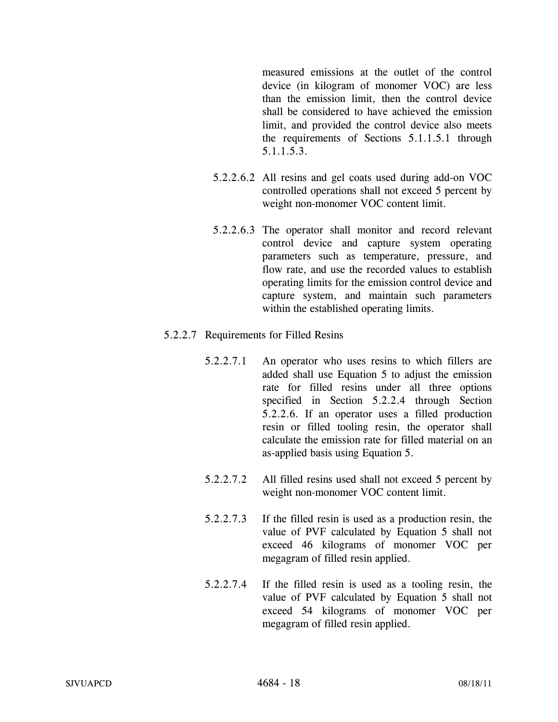measured emissions at the outlet of the control device (in kilogram of monomer VOC) are less than the emission limit, then the control device shall be considered to have achieved the emission limit, and provided the control device also meets the requirements of Sections 5.1.1.5.1 through 5.1.1.5.3.

- 5.2.2.6.2 All resins and gel coats used during add-on VOC controlled operations shall not exceed 5 percent by weight non-monomer VOC content limit.
- 5.2.2.6.3 The operator shall monitor and record relevant control device and capture system operating parameters such as temperature, pressure, and flow rate, and use the recorded values to establish operating limits for the emission control device and capture system, and maintain such parameters within the established operating limits.

### 5.2.2.7 Requirements for Filled Resins

- 5.2.2.7.1 An operator who uses resins to which fillers are added shall use Equation 5 to adjust the emission rate for filled resins under all three options specified in Section 5.2.2.4 through Section 5.2.2.6. If an operator uses a filled production resin or filled tooling resin, the operator shall calculate the emission rate for filled material on an as-applied basis using Equation 5.
- 5.2.2.7.2 All filled resins used shall not exceed 5 percent by weight non-monomer VOC content limit.
- 5.2.2.7.3 If the filled resin is used as a production resin, the value of PVF calculated by Equation 5 shall not exceed 46 kilograms of monomer VOC per megagram of filled resin applied.
- 5.2.2.7.4 If the filled resin is used as a tooling resin, the value of PVF calculated by Equation 5 shall not exceed 54 kilograms of monomer VOC per megagram of filled resin applied.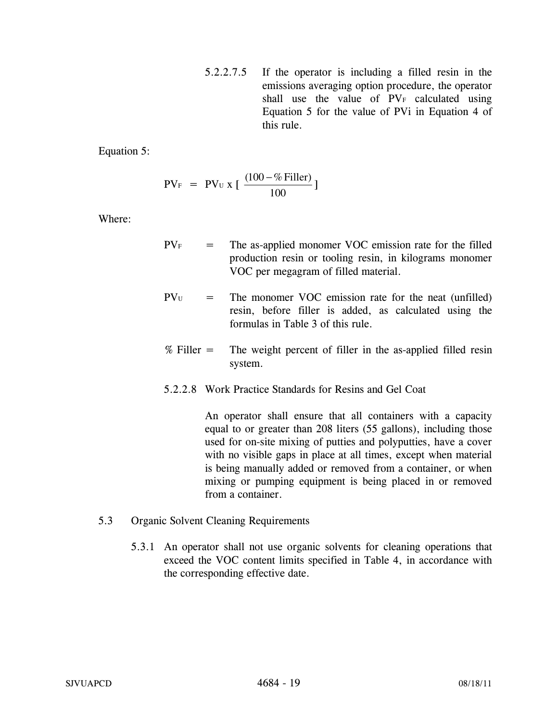5.2.2.7.5 If the operator is including a filled resin in the emissions averaging option procedure, the operator shall use the value of PVF calculated using Equation 5 for the value of PVi in Equation 4 of this rule.

Equation 5:

$$
PV_F = PV_U x [\frac{(100 - %Filler)}{100}]
$$

Where:

- $PV<sub>F</sub>$  = The as-applied monomer VOC emission rate for the filled production resin or tooling resin, in kilograms monomer VOC per megagram of filled material.
- $PV_{U}$  = The monomer VOC emission rate for the neat (unfilled) resin, before filler is added, as calculated using the formulas in Table 3 of this rule.
- % Filler = The weight percent of filler in the as-applied filled resin system.
- 5.2.2.8 Work Practice Standards for Resins and Gel Coat

 An operator shall ensure that all containers with a capacity equal to or greater than 208 liters (55 gallons), including those used for on-site mixing of putties and polyputties, have a cover with no visible gaps in place at all times, except when material is being manually added or removed from a container, or when mixing or pumping equipment is being placed in or removed from a container.

- 5.3 Organic Solvent Cleaning Requirements
	- 5.3.1 An operator shall not use organic solvents for cleaning operations that exceed the VOC content limits specified in Table 4, in accordance with the corresponding effective date.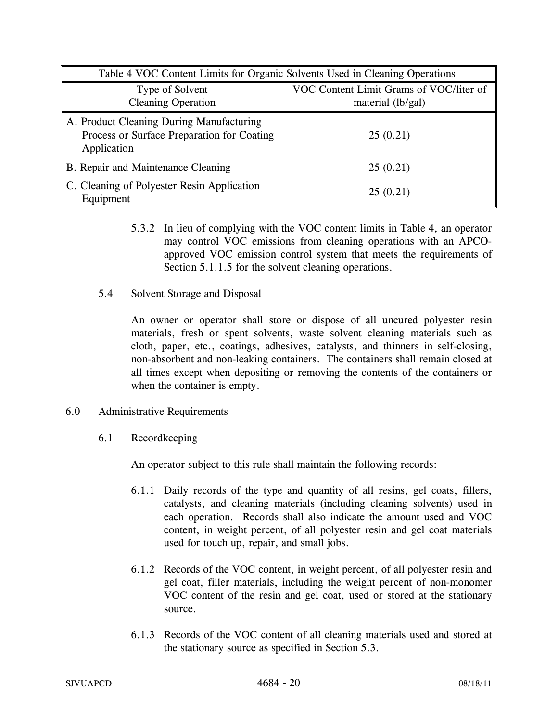| Table 4 VOC Content Limits for Organic Solvents Used in Cleaning Operations                           |                                                              |  |
|-------------------------------------------------------------------------------------------------------|--------------------------------------------------------------|--|
| Type of Solvent<br><b>Cleaning Operation</b>                                                          | VOC Content Limit Grams of VOC/liter of<br>material (lb/gal) |  |
| A. Product Cleaning During Manufacturing<br>Process or Surface Preparation for Coating<br>Application | 25(0.21)                                                     |  |
| B. Repair and Maintenance Cleaning                                                                    | 25(0.21)                                                     |  |
| C. Cleaning of Polyester Resin Application<br>Equipment                                               | 25(0.21)                                                     |  |

- 5.3.2 In lieu of complying with the VOC content limits in Table 4, an operator may control VOC emissions from cleaning operations with an APCOapproved VOC emission control system that meets the requirements of Section 5.1.1.5 for the solvent cleaning operations.
- 5.4 Solvent Storage and Disposal

An owner or operator shall store or dispose of all uncured polyester resin materials, fresh or spent solvents, waste solvent cleaning materials such as cloth, paper, etc., coatings, adhesives, catalysts, and thinners in self-closing, non-absorbent and non-leaking containers. The containers shall remain closed at all times except when depositing or removing the contents of the containers or when the container is empty.

- 6.0 Administrative Requirements
	- 6.1 Recordkeeping

An operator subject to this rule shall maintain the following records:

- 6.1.1 Daily records of the type and quantity of all resins, gel coats, fillers, catalysts, and cleaning materials (including cleaning solvents) used in each operation. Records shall also indicate the amount used and VOC content, in weight percent, of all polyester resin and gel coat materials used for touch up, repair, and small jobs.
- 6.1.2 Records of the VOC content, in weight percent, of all polyester resin and gel coat, filler materials, including the weight percent of non-monomer VOC content of the resin and gel coat, used or stored at the stationary source.
- 6.1.3 Records of the VOC content of all cleaning materials used and stored at the stationary source as specified in Section 5.3.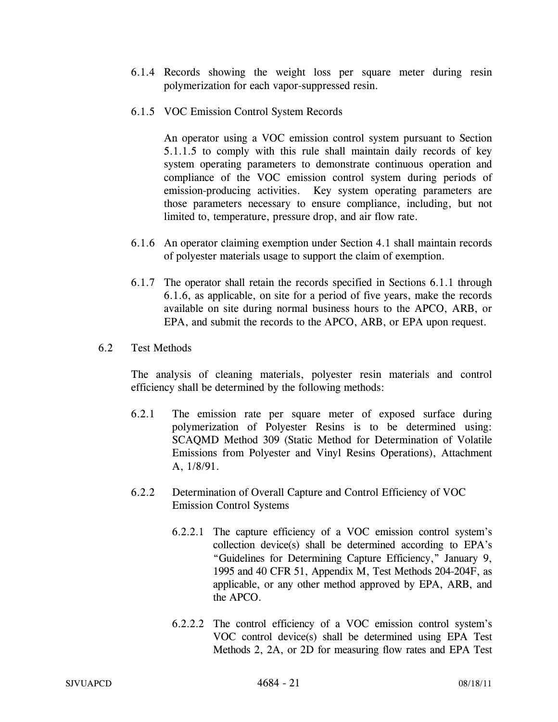- 6.1.4 Records showing the weight loss per square meter during resin polymerization for each vapor-suppressed resin.
- 6.1.5 VOC Emission Control System Records

An operator using a VOC emission control system pursuant to Section 5.1.1.5 to comply with this rule shall maintain daily records of key system operating parameters to demonstrate continuous operation and compliance of the VOC emission control system during periods of emission-producing activities. Key system operating parameters are those parameters necessary to ensure compliance, including, but not limited to, temperature, pressure drop, and air flow rate.

- 6.1.6 An operator claiming exemption under Section 4.1 shall maintain records of polyester materials usage to support the claim of exemption.
- 6.1.7 The operator shall retain the records specified in Sections 6.1.1 through 6.1.6, as applicable, on site for a period of five years, make the records available on site during normal business hours to the APCO, ARB, or EPA, and submit the records to the APCO, ARB, or EPA upon request.
- 6.2 Test Methods

The analysis of cleaning materials, polyester resin materials and control efficiency shall be determined by the following methods:

- 6.2.1 The emission rate per square meter of exposed surface during polymerization of Polyester Resins is to be determined using: SCAQMD Method 309 (Static Method for Determination of Volatile Emissions from Polyester and Vinyl Resins Operations), Attachment A, 1/8/91.
- 6.2.2 Determination of Overall Capture and Control Efficiency of VOC Emission Control Systems
	- 6.2.2.1 The capture efficiency of a VOC emission control system's collection device(s) shall be determined according to EPA's "Guidelines for Determining Capture Efficiency," January 9, 1995 and 40 CFR 51, Appendix M, Test Methods 204-204F, as applicable, or any other method approved by EPA, ARB, and the APCO.
	- 6.2.2.2 The control efficiency of a VOC emission control system's VOC control device(s) shall be determined using EPA Test Methods 2, 2A, or 2D for measuring flow rates and EPA Test